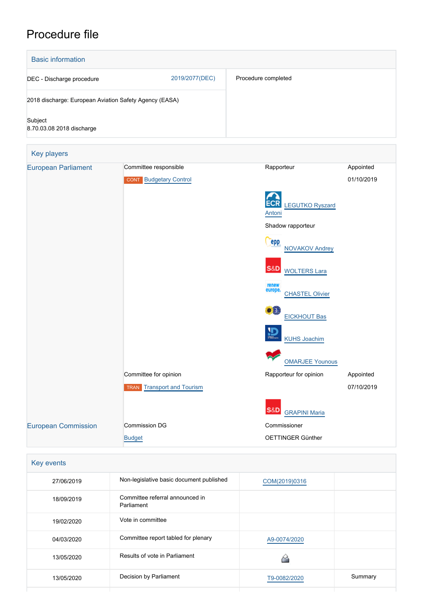## Procedure file



| Key events |                                               |               |         |
|------------|-----------------------------------------------|---------------|---------|
| 27/06/2019 | Non-legislative basic document published      | COM(2019)0316 |         |
| 18/09/2019 | Committee referral announced in<br>Parliament |               |         |
| 19/02/2020 | Vote in committee                             |               |         |
| 04/03/2020 | Committee report tabled for plenary           | A9-0074/2020  |         |
| 13/05/2020 | Results of vote in Parliament                 |               |         |
| 13/05/2020 | Decision by Parliament                        | T9-0082/2020  | Summary |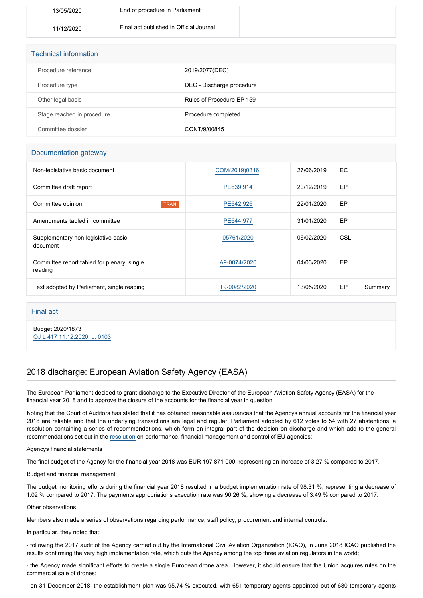| 13/05/2020 | End of procedure in Parliament          |  |
|------------|-----------------------------------------|--|
| 11/12/2020 | Final act published in Official Journal |  |

| <b>Technical information</b> |                           |  |  |  |
|------------------------------|---------------------------|--|--|--|
| Procedure reference          | 2019/2077(DEC)            |  |  |  |
| Procedure type               | DEC - Discharge procedure |  |  |  |
| Other legal basis            | Rules of Procedure EP 159 |  |  |  |
| Stage reached in procedure   | Procedure completed       |  |  |  |
| Committee dossier            | CONT/9/00845              |  |  |  |

## Documentation gateway

| Non-legislative basic document                         |             | COM(2019)0316 | 27/06/2019 | EC. |         |
|--------------------------------------------------------|-------------|---------------|------------|-----|---------|
| Committee draft report                                 |             | PE639.914     | 20/12/2019 | EP  |         |
| Committee opinion                                      | <b>TRAN</b> | PE642.926     | 22/01/2020 | EP  |         |
| Amendments tabled in committee                         |             | PE644.977     | 31/01/2020 | EP  |         |
| Supplementary non-legislative basic<br>document        |             | 05761/2020    | 06/02/2020 | CSL |         |
| Committee report tabled for plenary, single<br>reading |             | A9-0074/2020  | 04/03/2020 | EP  |         |
| Text adopted by Parliament, single reading             |             | T9-0082/2020  | 13/05/2020 | EP  | Summary |

## Final act

Budget 2020/1873 [OJ L 417 11.12.2020, p. 0103](https://eur-lex.europa.eu/legal-content/EN/TXT/?uri=OJ:L:2020:417:TOC)

## 2018 discharge: European Aviation Safety Agency (EASA)

The European Parliament decided to grant discharge to the Executive Director of the European Aviation Safety Agency (EASA) for the financial year 2018 and to approve the closure of the accounts for the financial year in question.

Noting that the Court of Auditors has stated that it has obtained reasonable assurances that the Agencys annual accounts for the financial year 2018 are reliable and that the underlying transactions are legal and regular, Parliament adopted by 612 votes to 54 with 27 abstentions, a resolution containing a series of recommendations, which form an integral part of the decision on discharge and which add to the general recommendations set out in the [resolution](https://oeil.secure.europarl.europa.eu/oeil/popups/ficheprocedure.do?lang=en&reference=2019/2098(DEC)) on performance, financial management and control of EU agencies:

Agencys financial statements

The final budget of the Agency for the financial year 2018 was EUR 197 871 000, representing an increase of 3.27 % compared to 2017.

Budget and financial management

The budget monitoring efforts during the financial year 2018 resulted in a budget implementation rate of 98.31 %, representing a decrease of 1.02 % compared to 2017. The payments appropriations execution rate was 90.26 %, showing a decrease of 3.49 % compared to 2017.

Other observations

Members also made a series of observations regarding performance, staff policy, procurement and internal controls.

In particular, they noted that:

- following the 2017 audit of the Agency carried out by the International Civil Aviation Organization (ICAO), in June 2018 ICAO published the results confirming the very high implementation rate, which puts the Agency among the top three aviation regulators in the world;

- the Agency made significant efforts to create a single European drone area. However, it should ensure that the Union acquires rules on the commercial sale of drones;

- on 31 December 2018, the establishment plan was 95.74 % executed, with 651 temporary agents appointed out of 680 temporary agents